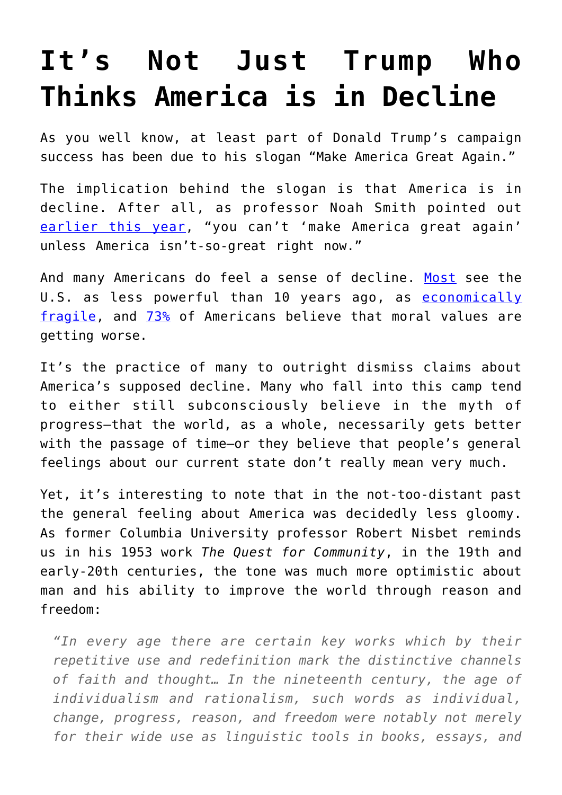## **[It's Not Just Trump Who](https://intellectualtakeout.org/2016/07/its-not-just-trump-who-thinks-america-is-in-decline/) [Thinks America is in Decline](https://intellectualtakeout.org/2016/07/its-not-just-trump-who-thinks-america-is-in-decline/)**

As you well know, at least part of Donald Trump's campaign success has been due to his slogan "Make America Great Again."

The implication behind the slogan is that America is in decline. After all, as professor Noah Smith pointed out [earlier this year,](https://www.bloomberg.com/view/articles/2016-03-03/donald-trump-has-a-point-about-american-decline) "you can't 'make America great again' unless America isn't-so-great right now."

And many Americans do feel a sense of decline. [Most](http://www.people-press.org/2013/12/03/public-sees-u-s-power-declining-as-support-for-global-engagement-slips/) see the U.S. as less powerful than 10 years ago, as [economically](http://fortune.com/2015/07/20/united-states-decline-statistics-economic/) [fragile](http://fortune.com/2015/07/20/united-states-decline-statistics-economic/), and [73%](http://www.gallup.com/poll/191858/americans-remain-pessimistic-state-moral-values.aspx) of Americans believe that moral values are getting worse.

It's the practice of many to outright dismiss claims about America's supposed decline. Many who fall into this camp tend to either still subconsciously believe in the myth of progress—that the world, as a whole, necessarily gets better with the passage of time—or they believe that people's general feelings about our current state don't really mean very much.

Yet, it's interesting to note that in the not-too-distant past the general feeling about America was decidedly less gloomy. As former Columbia University professor Robert Nisbet reminds us in his 1953 work *The Quest for Community*, in the 19th and early-20th centuries, the tone was much more optimistic about man and his ability to improve the world through reason and freedom:

*"In every age there are certain key works which by their repetitive use and redefinition mark the distinctive channels of faith and thought… In the nineteenth century, the age of individualism and rationalism, such words as individual, change, progress, reason, and freedom were notably not merely for their wide use as linguistic tools in books, essays, and*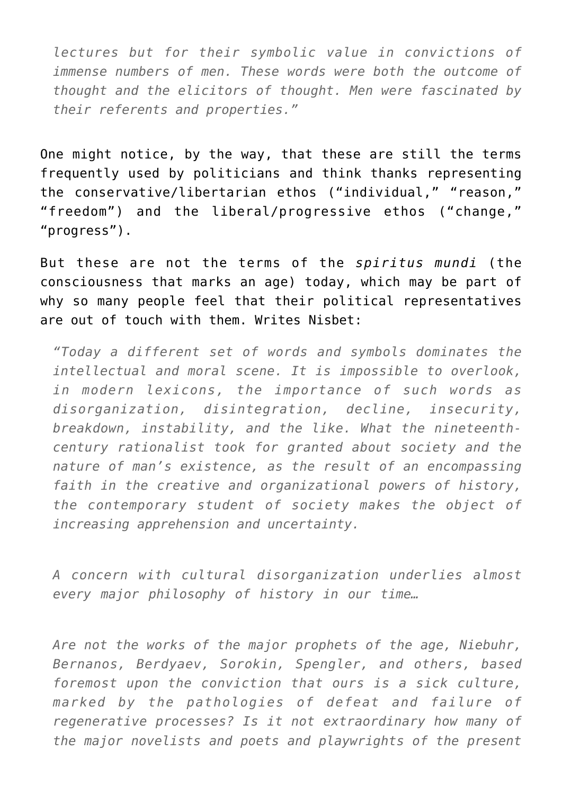*lectures but for their symbolic value in convictions of immense numbers of men. These words were both the outcome of thought and the elicitors of thought. Men were fascinated by their referents and properties."*

One might notice, by the way, that these are still the terms frequently used by politicians and think thanks representing the conservative/libertarian ethos ("individual," "reason," "freedom") and the liberal/progressive ethos ("change," "progress").

But these are not the terms of the *spiritus mundi* (the consciousness that marks an age) today, which may be part of why so many people feel that their political representatives are out of touch with them. Writes Nisbet:

*"Today a different set of words and symbols dominates the intellectual and moral scene. It is impossible to overlook, in modern lexicons, the importance of such words as disorganization, disintegration, decline, insecurity, breakdown, instability, and the like. What the nineteenthcentury rationalist took for granted about society and the nature of man's existence, as the result of an encompassing faith in the creative and organizational powers of history, the contemporary student of society makes the object of increasing apprehension and uncertainty.*

*A concern with cultural disorganization underlies almost every major philosophy of history in our time…*

*Are not the works of the major prophets of the age, Niebuhr, Bernanos, Berdyaev, Sorokin, Spengler, and others, based foremost upon the conviction that ours is a sick culture, marked by the pathologies of defeat and failure of regenerative processes? Is it not extraordinary how many of the major novelists and poets and playwrights of the present*